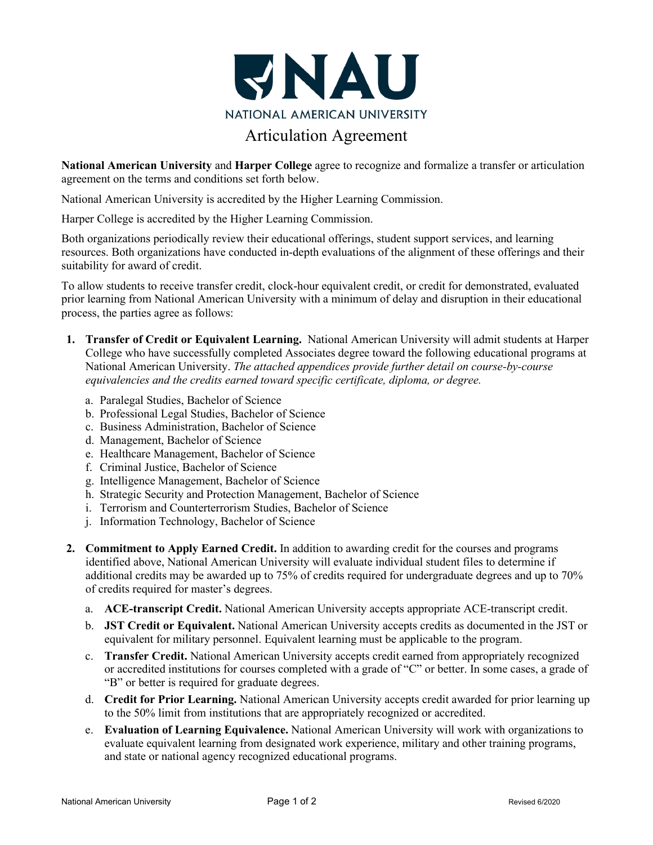

## Articulation Agreement

**National American University** and **Harper College** agree to recognize and formalize a transfer or articulation agreement on the terms and conditions set forth below.

National American University is accredited by the Higher Learning Commission.

Harper College is accredited by the Higher Learning Commission.

Both organizations periodically review their educational offerings, student support services, and learning resources. Both organizations have conducted in-depth evaluations of the alignment of these offerings and their suitability for award of credit.

To allow students to receive transfer credit, clock-hour equivalent credit, or credit for demonstrated, evaluated prior learning from National American University with a minimum of delay and disruption in their educational process, the parties agree as follows:

- **1. Transfer of Credit or Equivalent Learning.** National American University will admit students at Harper College who have successfully completed Associates degree toward the following educational programs at National American University. *The attached appendices provide further detail on course-by-course equivalencies and the credits earned toward specific certificate, diploma, or degree.*
	- a. Paralegal Studies, Bachelor of Science
	- b. Professional Legal Studies, Bachelor of Science
	- c. Business Administration, Bachelor of Science
	- d. Management, Bachelor of Science
	- e. Healthcare Management, Bachelor of Science
	- f. Criminal Justice, Bachelor of Science
	- g. Intelligence Management, Bachelor of Science
	- h. Strategic Security and Protection Management, Bachelor of Science
	- i. Terrorism and Counterterrorism Studies, Bachelor of Science
	- j. Information Technology, Bachelor of Science
- **2. Commitment to Apply Earned Credit.** In addition to awarding credit for the courses and programs identified above, National American University will evaluate individual student files to determine if additional credits may be awarded up to 75% of credits required for undergraduate degrees and up to 70% of credits required for master's degrees.
	- a. **ACE-transcript Credit.** National American University accepts appropriate ACE-transcript credit.
	- b. **JST Credit or Equivalent.** National American University accepts credits as documented in the JST or equivalent for military personnel. Equivalent learning must be applicable to the program.
	- c. **Transfer Credit.** National American University accepts credit earned from appropriately recognized or accredited institutions for courses completed with a grade of "C" or better. In some cases, a grade of "B" or better is required for graduate degrees.
	- d. **Credit for Prior Learning.** National American University accepts credit awarded for prior learning up to the 50% limit from institutions that are appropriately recognized or accredited.
	- e. **Evaluation of Learning Equivalence.** National American University will work with organizations to evaluate equivalent learning from designated work experience, military and other training programs, and state or national agency recognized educational programs.